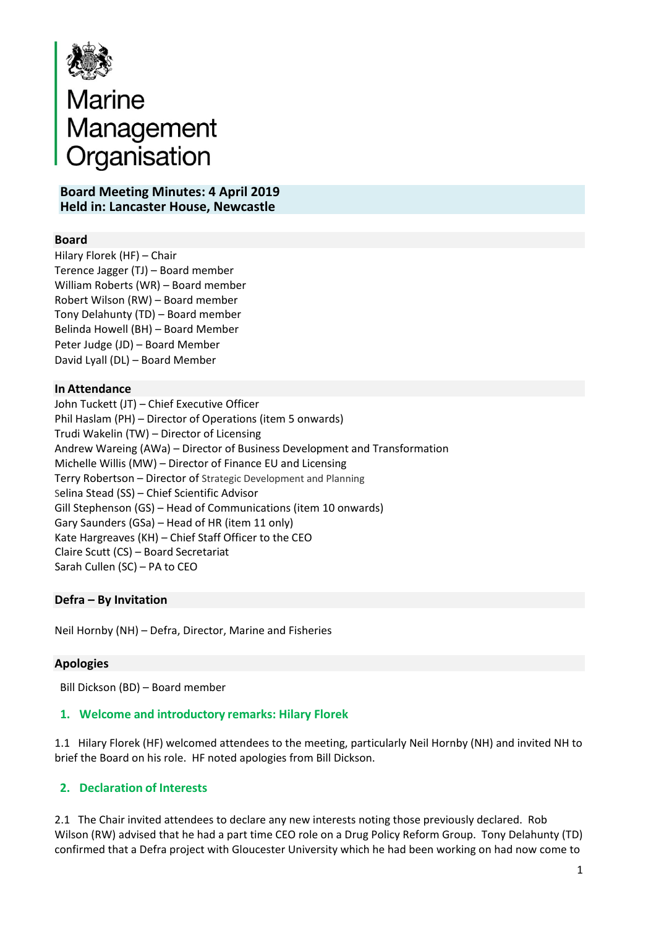

# Marine<br>Management<br>Organisation

#### **Board Meeting Minutes: 4 April 2019 Held in: Lancaster House, Newcastle**

# **Board**

Hilary Florek (HF) – Chair Terence Jagger (TJ) – Board member William Roberts (WR) – Board member Robert Wilson (RW) – Board member Tony Delahunty (TD) – Board member Belinda Howell (BH) – Board Member Peter Judge (JD) – Board Member David Lyall (DL) – Board Member

#### **In Attendance**

John Tuckett (JT) – Chief Executive Officer Phil Haslam (PH) – Director of Operations (item 5 onwards) Trudi Wakelin (TW) – Director of Licensing Andrew Wareing (AWa) – Director of Business Development and Transformation Michelle Willis (MW) – Director of Finance EU and Licensing Terry Robertson – Director of Strategic Development and Planning Selina Stead (SS) – Chief Scientific Advisor Gill Stephenson (GS) – Head of Communications (item 10 onwards) Gary Saunders (GSa) – Head of HR (item 11 only) Kate Hargreaves (KH) – Chief Staff Officer to the CEO Claire Scutt (CS) – Board Secretariat Sarah Cullen (SC) – PA to CEO

#### **Defra – By Invitation**

Neil Hornby (NH) – Defra, Director, Marine and Fisheries

#### **Apologies**

Bill Dickson (BD) – Board member

#### **1. Welcome and introductory remarks: Hilary Florek**

1.1 Hilary Florek (HF) welcomed attendees to the meeting, particularly Neil Hornby (NH) and invited NH to brief the Board on his role. HF noted apologies from Bill Dickson.

#### **2. Declaration of Interests**

2.1 The Chair invited attendees to declare any new interests noting those previously declared. Rob Wilson (RW) advised that he had a part time CEO role on a Drug Policy Reform Group. Tony Delahunty (TD) confirmed that a Defra project with Gloucester University which he had been working on had now come to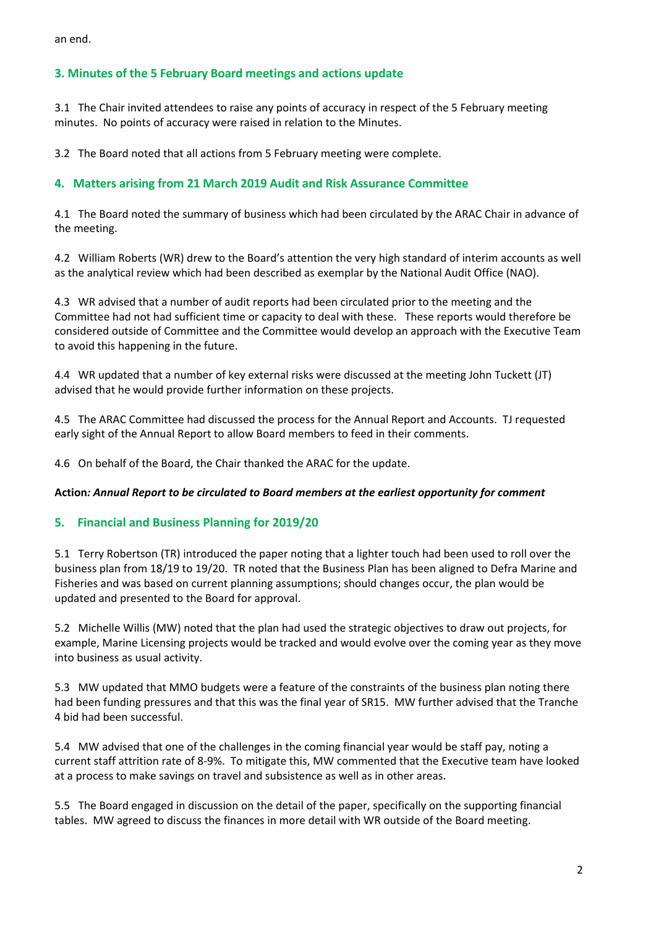an end.

# **3. Minutes of the 5 February Board meetings and actions update**

3.1 The Chair invited attendees to raise any points of accuracy in respect of the 5 February meeting minutes. No points of accuracy were raised in relation to the Minutes.

3.2 The Board noted that all actions from 5 February meeting were complete.

# **4. Matters arising from 21 March 2019 Audit and Risk Assurance Committee**

4.1 The Board noted the summary of business which had been circulated by the ARAC Chair in advance of the meeting.

4.2 William Roberts (WR) drew to the Board's attention the very high standard of interim accounts as well as the analytical review which had been described as exemplar by the National Audit Office (NAO).

4.3 WR advised that a number of audit reports had been circulated prior to the meeting and the Committee had not had sufficient time or capacity to deal with these. These reports would therefore be considered outside of Committee and the Committee would develop an approach with the Executive Team to avoid this happening in the future.

4.4 WR updated that a number of key external risks were discussed at the meeting John Tuckett (JT) advised that he would provide further information on these projects.

4.5 The ARAC Committee had discussed the process for the Annual Report and Accounts. TJ requested early sight of the Annual Report to allow Board members to feed in their comments.

4.6 On behalf of the Board, the Chair thanked the ARAC for the update.

#### **Action***: Annual Report to be circulated to Board members at the earliest opportunity for comment*

#### **5. Financial and Business Planning for 2019/20**

5.1 Terry Robertson (TR) introduced the paper noting that a lighter touch had been used to roll over the business plan from 18/19 to 19/20. TR noted that the Business Plan has been aligned to Defra Marine and Fisheries and was based on current planning assumptions; should changes occur, the plan would be updated and presented to the Board for approval.

5.2 Michelle Willis (MW) noted that the plan had used the strategic objectives to draw out projects, for example, Marine Licensing projects would be tracked and would evolve over the coming year as they move into business as usual activity.

5.3 MW updated that MMO budgets were a feature of the constraints of the business plan noting there had been funding pressures and that this was the final year of SR15. MW further advised that the Tranche 4 bid had been successful.

5.4 MW advised that one of the challenges in the coming financial year would be staff pay, noting a current staff attrition rate of 8-9%. To mitigate this, MW commented that the Executive team have looked at a process to make savings on travel and subsistence as well as in other areas.

5.5 The Board engaged in discussion on the detail of the paper, specifically on the supporting financial tables. MW agreed to discuss the finances in more detail with WR outside of the Board meeting.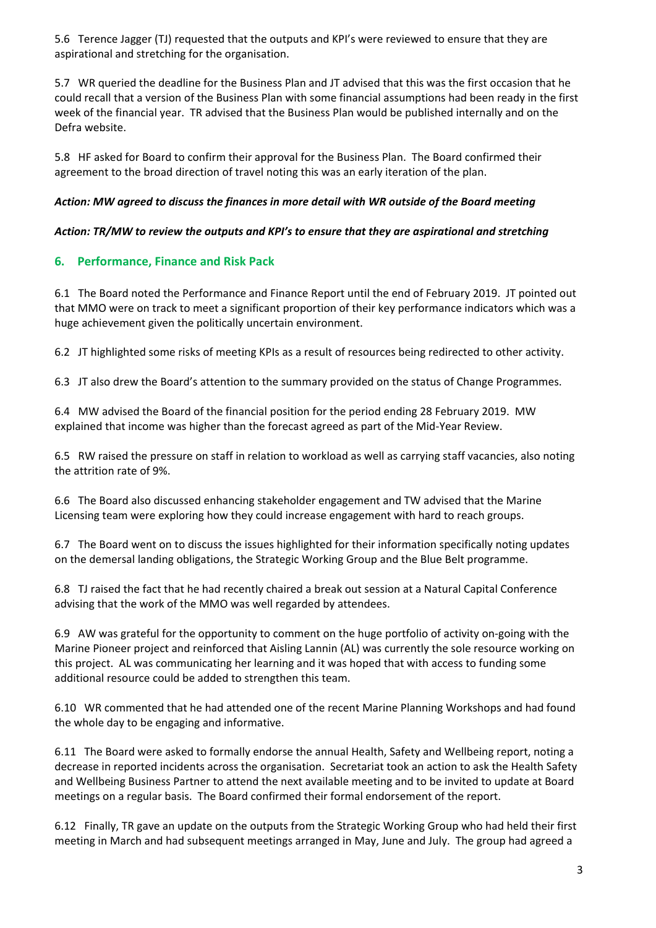5.6 Terence Jagger (TJ) requested that the outputs and KPI's were reviewed to ensure that they are aspirational and stretching for the organisation.

5.7 WR queried the deadline for the Business Plan and JT advised that this was the first occasion that he could recall that a version of the Business Plan with some financial assumptions had been ready in the first week of the financial year. TR advised that the Business Plan would be published internally and on the Defra website.

5.8 HF asked for Board to confirm their approval for the Business Plan. The Board confirmed their agreement to the broad direction of travel noting this was an early iteration of the plan.

#### *Action: MW agreed to discuss the finances in more detail with WR outside of the Board meeting*

#### *Action: TR/MW to review the outputs and KPI's to ensure that they are aspirational and stretching*

#### **6. Performance, Finance and Risk Pack**

6.1 The Board noted the Performance and Finance Report until the end of February 2019. JT pointed out that MMO were on track to meet a significant proportion of their key performance indicators which was a huge achievement given the politically uncertain environment.

6.2 JT highlighted some risks of meeting KPIs as a result of resources being redirected to other activity.

6.3 JT also drew the Board's attention to the summary provided on the status of Change Programmes.

6.4 MW advised the Board of the financial position for the period ending 28 February 2019. MW explained that income was higher than the forecast agreed as part of the Mid-Year Review.

6.5 RW raised the pressure on staff in relation to workload as well as carrying staff vacancies, also noting the attrition rate of 9%.

6.6 The Board also discussed enhancing stakeholder engagement and TW advised that the Marine Licensing team were exploring how they could increase engagement with hard to reach groups.

6.7 The Board went on to discuss the issues highlighted for their information specifically noting updates on the demersal landing obligations, the Strategic Working Group and the Blue Belt programme.

6.8 TJ raised the fact that he had recently chaired a break out session at a Natural Capital Conference advising that the work of the MMO was well regarded by attendees.

6.9 AW was grateful for the opportunity to comment on the huge portfolio of activity on-going with the Marine Pioneer project and reinforced that Aisling Lannin (AL) was currently the sole resource working on this project. AL was communicating her learning and it was hoped that with access to funding some additional resource could be added to strengthen this team.

6.10 WR commented that he had attended one of the recent Marine Planning Workshops and had found the whole day to be engaging and informative.

6.11 The Board were asked to formally endorse the annual Health, Safety and Wellbeing report, noting a decrease in reported incidents across the organisation. Secretariat took an action to ask the Health Safety and Wellbeing Business Partner to attend the next available meeting and to be invited to update at Board meetings on a regular basis. The Board confirmed their formal endorsement of the report.

6.12 Finally, TR gave an update on the outputs from the Strategic Working Group who had held their first meeting in March and had subsequent meetings arranged in May, June and July. The group had agreed a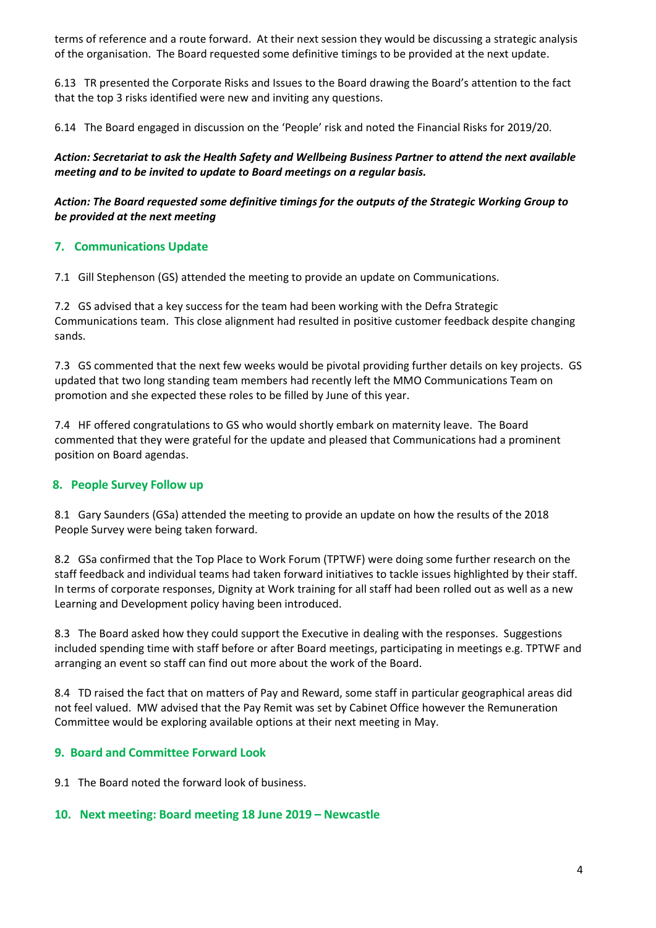terms of reference and a route forward. At their next session they would be discussing a strategic analysis of the organisation. The Board requested some definitive timings to be provided at the next update.

6.13 TR presented the Corporate Risks and Issues to the Board drawing the Board's attention to the fact that the top 3 risks identified were new and inviting any questions.

6.14 The Board engaged in discussion on the 'People' risk and noted the Financial Risks for 2019/20.

*Action: Secretariat to ask the Health Safety and Wellbeing Business Partner to attend the next available meeting and to be invited to update to Board meetings on a regular basis.*

#### *Action: The Board requested some definitive timings for the outputs of the Strategic Working Group to be provided at the next meeting*

# **7. Communications Update**

7.1 Gill Stephenson (GS) attended the meeting to provide an update on Communications.

7.2 GS advised that a key success for the team had been working with the Defra Strategic Communications team. This close alignment had resulted in positive customer feedback despite changing sands.

7.3 GS commented that the next few weeks would be pivotal providing further details on key projects. GS updated that two long standing team members had recently left the MMO Communications Team on promotion and she expected these roles to be filled by June of this year.

7.4 HF offered congratulations to GS who would shortly embark on maternity leave. The Board commented that they were grateful for the update and pleased that Communications had a prominent position on Board agendas.

#### **8. People Survey Follow up**

8.1 Gary Saunders (GSa) attended the meeting to provide an update on how the results of the 2018 People Survey were being taken forward.

8.2 GSa confirmed that the Top Place to Work Forum (TPTWF) were doing some further research on the staff feedback and individual teams had taken forward initiatives to tackle issues highlighted by their staff. In terms of corporate responses, Dignity at Work training for all staff had been rolled out as well as a new Learning and Development policy having been introduced.

8.3 The Board asked how they could support the Executive in dealing with the responses. Suggestions included spending time with staff before or after Board meetings, participating in meetings e.g. TPTWF and arranging an event so staff can find out more about the work of the Board.

8.4 TD raised the fact that on matters of Pay and Reward, some staff in particular geographical areas did not feel valued. MW advised that the Pay Remit was set by Cabinet Office however the Remuneration Committee would be exploring available options at their next meeting in May.

# **9. Board and Committee Forward Look**

9.1 The Board noted the forward look of business.

#### **10. Next meeting: Board meeting 18 June 2019 – Newcastle**